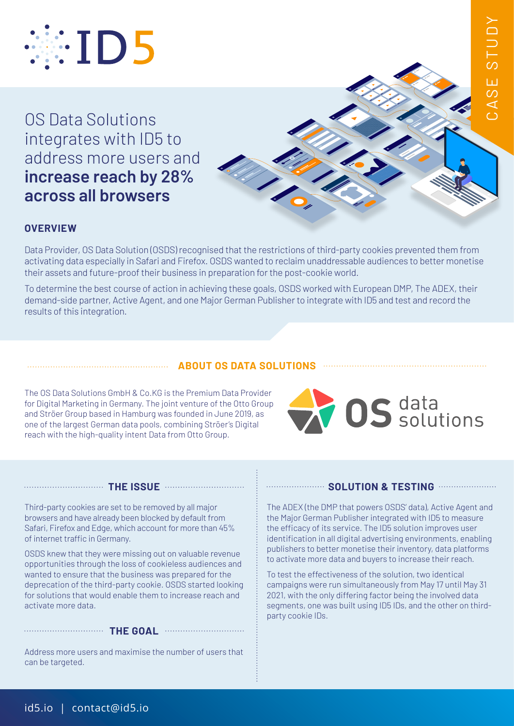

OS Data Solutions integrates with ID5 to address more users and **increase reach by 28% across all browsers**



## **OVERVIEW**

Data Provider, OS Data Solution (OSDS) recognised that the restrictions of third-party cookies prevented them from activating data especially in Safari and Firefox. OSDS wanted to reclaim unaddressable audiences to better monetise their assets and future-proof their business in preparation for the post-cookie world.

To determine the best course of action in achieving these goals, OSDS worked with European DMP, The ADEX, their demand-side partner, Active Agent, and one Major German Publisher to integrate with ID5 and test and record the results of this integration.

## **ABOUT OS DATA SOLUTIONS**

The OS Data Solutions GmbH & Co.KG is the Premium Data Provider for Digital Marketing in Germany. The joint venture of the Otto Group and Ströer Group based in Hamburg was founded in June 2019, as one of the largest German data pools, combining Ströer's Digital reach with the high-quality intent Data from Otto Group.



#### **THE ISSUE**

Third-party cookies are set to be removed by all major browsers and have already been blocked by default from Safari, Firefox and Edge, which account for more than 45% of internet traffic in Germany.

OSDS knew that they were missing out on valuable revenue opportunities through the loss of cookieless audiences and wanted to ensure that the business was prepared for the deprecation of the third-party cookie. OSDS started looking for solutions that would enable them to increase reach and activate more data.

### **THE GOAL**

Address more users and maximise the number of users that can be targeted.

#### **COLUTION & TESTING COLUTION & TESTING**

The ADEX (the DMP that powers OSDS' data), Active Agent and the Major German Publisher integrated with ID5 to measure the efficacy of its service. The ID5 solution improves user identification in all digital advertising environments, enabling publishers to better monetise their inventory, data platforms to activate more data and buyers to increase their reach.

To test the effectiveness of the solution, two identical campaigns were run simultaneously from May 17 until May 31 2021, with the only differing factor being the involved data segments, one was built using ID5 IDs, and the other on third-